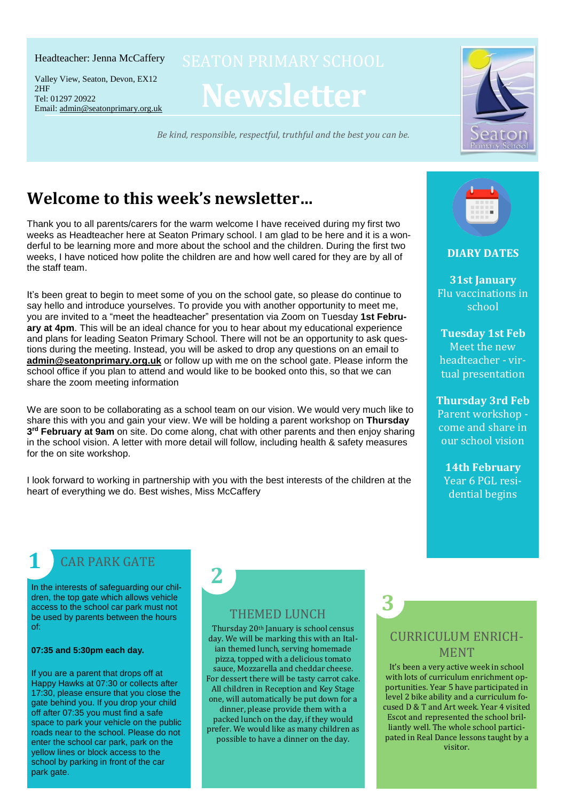#### Headteacher: Jenna McCaffery

Tel: 01297 20922 Email: <u>[admin@seatonprimary.org.uk](mailto:admin@seatonprimary.org.uk)</u> Valley View, Seaton, Devon, EX12 2HF

**Newsletter**

*Be kind, responsible, respectful, truthful and the best you can be.* Email: [admin@seatonprimary.org.uk](mailto:admin@seatonprimary.org.uk)



# **Welcome to this week's newsletter…**

Thank you to all parents/carers for the warm welcome I have received during my first two weeks as Headteacher here at Seaton Primary school. I am glad to be here and it is a wonderful to be learning more and more about the school and the children. During the first two weeks, I have noticed how polite the children are and how well cared for they are by all of the staff team.

It's been great to begin to meet some of you on the school gate, so please do continue to say hello and introduce yourselves. To provide you with another opportunity to meet me, you are invited to a "meet the headteacher" presentation via Zoom on Tuesday **1st February at 4pm**. This will be an ideal chance for you to hear about my educational experience and plans for leading Seaton Primary School. There will not be an opportunity to ask questions during the meeting. Instead, you will be asked to drop any questions on an email to **[admin@seatonprimary.org.uk](mailto:admin@seatonprimary.org.uk)** or follow up with me on the school gate. Please inform the school office if you plan to attend and would like to be booked onto this, so that we can share the zoom meeting information

We are soon to be collaborating as a school team on our vision. We would very much like to share this with you and gain your view. We will be holding a parent workshop on **Thursday 3 rd February at 9am** on site. Do come along, chat with other parents and then enjoy sharing in the school vision. A letter with more detail will follow, including health & safety measures for the on site workshop.

I look forward to working in partnership with you with the best interests of the children at the heart of everything we do. Best wishes, Miss McCaffery

**2**



**DIARY DATES**

**31st January** Flu vaccinations in school

**Tuesday 1st Feb** Meet the new headteacher - virtual presentation

**Thursday 3rd Feb** Parent workshop come and share in our school vision

**14th February** Year 6 PGL residential begins

## CAR PARK GATE

In the interests of safeguarding our children, the top gate which allows vehicle access to the school car park must not be used by parents between the hours of:

#### **07:35 and 5:30pm each day.**

**1**

If you are a parent that drops off at Happy Hawks at 07:30 or collects after 17:30, please ensure that you close the gate behind you. If you drop your child off after 07:35 you must find a safe space to park your vehicle on the public roads near to the school. Please do not enter the school car park, park on the yellow lines or block access to the school by parking in front of the car park gate.

### THEMED LUNCH

Thursday 20th January is school census day. We will be marking this with an Italian themed lunch, serving homemade pizza, topped with a delicious tomato sauce, Mozzarella and cheddar cheese. For dessert there will be tasty carrot cake. All children in Reception and Key Stage one, will automatically be put down for a dinner, please provide them with a

packed lunch on the day, if they would prefer. We would like as many children as possible to have a dinner on the day.

1<br>1

## CURRICULUM ENRICH-MENT

**3**

It's been a very active week in school with lots of curriculum enrichment opportunities. Year 5 have participated in level 2 bike ability and a curriculum focused D & T and Art week. Year 4 visited Escot and represented the school brilliantly well. The whole school participated in Real Dance lessons taught by a visitor.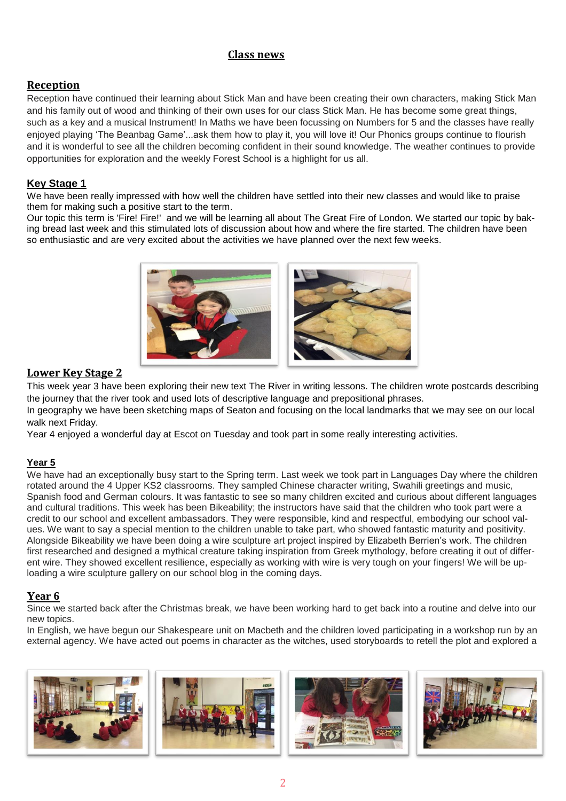#### **Class news**

### **Reception**

Reception have continued their learning about Stick Man and have been creating their own characters, making Stick Man and his family out of wood and thinking of their own uses for our class Stick Man. He has become some great things, such as a key and a musical Instrument! In Maths we have been focussing on Numbers for 5 and the classes have really enjoyed playing 'The Beanbag Game'...ask them how to play it, you will love it! Our Phonics groups continue to flourish and it is wonderful to see all the children becoming confident in their sound knowledge. The weather continues to provide opportunities for exploration and the weekly Forest School is a highlight for us all.

### **Key Stage 1**

We have been really impressed with how well the children have settled into their new classes and would like to praise them for making such a positive start to the term.

Our topic this term is 'Fire! Fire!' and we will be learning all about The Great Fire of London. We started our topic by baking bread last week and this stimulated lots of discussion about how and where the fire started. The children have been so enthusiastic and are very excited about the activities we have planned over the next few weeks.



#### **Lower Key Stage 2**

This week year 3 have been exploring their new text The River in writing lessons. The children wrote postcards describing the journey that the river took and used lots of descriptive language and prepositional phrases.

In geography we have been sketching maps of Seaton and focusing on the local landmarks that we may see on our local walk next Friday.

Year 4 enjoyed a wonderful day at Escot on Tuesday and took part in some really interesting activities.

#### **Year 5**

We have had an exceptionally busy start to the Spring term. Last week we took part in Languages Day where the children rotated around the 4 Upper KS2 classrooms. They sampled Chinese character writing, Swahili greetings and music, Spanish food and German colours. It was fantastic to see so many children excited and curious about different languages and cultural traditions. This week has been Bikeability; the instructors have said that the children who took part were a credit to our school and excellent ambassadors. They were responsible, kind and respectful, embodying our school values. We want to say a special mention to the children unable to take part, who showed fantastic maturity and positivity. Alongside Bikeability we have been doing a wire sculpture art project inspired by Elizabeth Berrien's work. The children first researched and designed a mythical creature taking inspiration from Greek mythology, before creating it out of different wire. They showed excellent resilience, especially as working with wire is very tough on your fingers! We will be uploading a wire sculpture gallery on our school blog in the coming days.

#### **Year 6**

Since we started back after the Christmas break, we have been working hard to get back into a routine and delve into our new topics.

In English, we have begun our Shakespeare unit on Macbeth and the children loved participating in a workshop run by an external agency. We have acted out poems in character as the witches, used storyboards to retell the plot and explored a